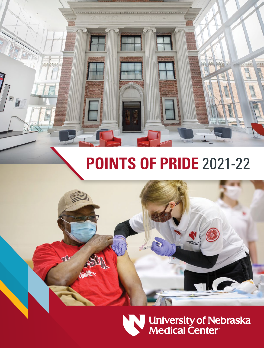### **POINTS OF PRIDE** 2021-22

ALLE



TAT

 $\blacksquare$ 

**University of Nebraska<br>Medical Center** 

1G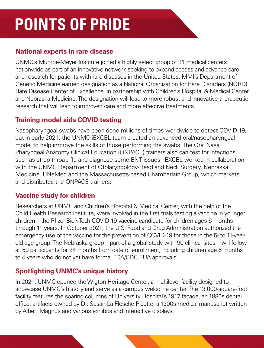### **POINTS OF PRIDE**

### **National experts in rare disease**

UNMC's Munroe-Meyer Institute joined a highly select group of 31 medical centers nationwide as part of an innovative network seeking to expand access and advance care and research for patients with rare diseases in the United States. MMI's Department of Genetic Medicine earned designation as a National Organization for Rare Disorders (NORD) Rare Disease Center of Excellence, in partnership with Children's Hospital & Medical Center and Nebraska Medicine. The designation will lead to more robust and innovative therapeutic research that will lead to improved care and more effective treatments.

### **Training model aids COVID testing**

Nasopharyngeal swabs have been done millions of times worldwide to detect COVID-19, but in early 2021, the UNMC iEXCEL team created an advanced oral/nasopharyngeal model to help improve the skills of those performing the swabs. The Oral Nasal Pharyngeal Anatomy Clinical Education (ONPACE) trainers also can test for infections such as strep throat, flu and diagnose some ENT issues. iEXCEL worked in collaboration with the UNMC Department of Otolaryngology-Head and Neck Surgery, Nebraska Medicine, UNeMed and the Massachusetts-based Chamberlain Group, which markets and distributes the ONPACE trainers.

### **Vaccine study for children**

Researchers at UNMC and Children's Hospital & Medical Center, with the help of the Child Health Research Institute, were involved in the first trials testing a vaccine in younger children – the Pfizer-BioNTech COVID-19 vaccine candidate for children ages 6 months through 11 years. In October 2021, the U.S. Food and Drug Administration authorized the emergency use of the vaccine for the prevention of COVID-19 for those in the 5- to 11-yearold age group. The Nebraska group – part of a global study with 90 clinical sites – will follow all 50 participants for 24 months from date of enrollment, including children age 6 months to 4 years who do not yet have formal FDA/CDC EUA approvals.

### **Spotlighting UNMC's unique history**

In 2021, UNMC opened the Wigton Heritage Center, a multilevel facility designed to showcase UNMC's history and serve as a campus welcome center. The 13,000-square-foot facility features the soaring columns of University Hospital's 1917 façade, an 1880s dental office, artifacts owned by Dr. Susan La Flesche Picotte, a 1300s medical manuscript written by Albert Magnus and various exhibits and interactive displays.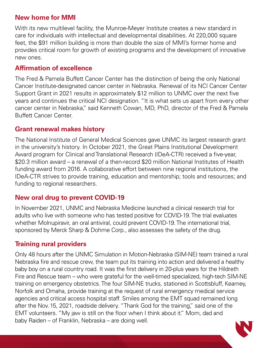### **New home for MMI**

With its new multilevel facility, the Munroe-Meyer Institute creates a new standard in care for individuals with intellectual and developmental disabilities. At 220,000 square feet, the \$91 million building is more than double the size of MMI's former home and provides critical room for growth of existing programs and the development of innovative new ones.

#### **Affirmation of excellence**

The Fred & Pamela Buffett Cancer Center has the distinction of being the only National Cancer Institute-designated cancer center in Nebraska. Renewal of its NCI Cancer Center Support Grant in 2021 results in approximately \$12 million to UNMC over the next five years and continues the critical NCI designation. "It is what sets us apart from every other cancer center in Nebraska," said Kenneth Cowan, MD, PhD, director of the Fred & Pamela Buffett Cancer Center.

#### **Grant renewal makes history**

The National Institute of General Medical Sciences gave UNMC its largest research grant in the university's history. In October 2021, the Great Plains Institutional Development Award program for Clinical and Translational Research (IDeA-CTR) received a five-year, \$20.3 million award – a renewal of a then-record \$20 million National Institutes of Health funding award from 2016. A collaborative effort between nine regional institutions, the IDeA-CTR strives to provide training, education and mentorship; tools and resources; and funding to regional researchers.

#### **New oral drug to prevent COVID-19**

In November 2021, UNMC and Nebraska Medicine launched a clinical research trial for adults who live with someone who has tested positive for COVID-19. The trial evaluates whether Molnupiravir, an oral antiviral, could prevent COVID-19. The international trial, sponsored by Merck Sharp & Dohme Corp., also assesses the safety of the drug.

#### **Training rural providers**

Only 48 hours after the UNMC Simulation in Motion-Nebraska (SIM-NE) team trained a rural Nebraska fire and rescue crew, the team put its training into action and delivered a healthy baby boy on a rural country road. It was the first delivery in 20-plus years for the Hildreth Fire and Rescue team – who were grateful for the well-timed specialized, high-tech SIM-NE training on emergency obstetrics. The four SIM-NE trucks, stationed in Scottsbluff, Kearney, Norfolk and Omaha, provide training at the request of rural emergency medical service agencies and critical access hospital staff. Smiles among the EMT squad remained long after the Nov. 15, 2021, roadside delivery. "Thank God for the training," said one of the EMT volunteers. "My jaw is still on the floor when I think about it." Mom, dad and baby Raiden – of Franklin, Nebraska – are doing well.

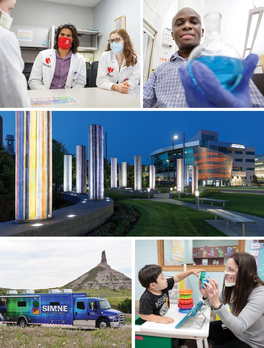





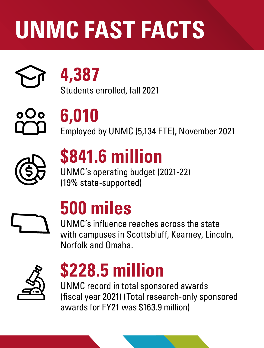# **UNMC FAST FACTS**





Students enrolled, fall 2021



### **6,010**

Employed by UNMC (5,134 FTE), November 2021



## **\$841.6 million**

UNMC's operating budget (2021-22) (19% state-supported)



### **500 miles**

UNMC's influence reaches across the state with campuses in Scottsbluff, Kearney, Lincoln, Norfolk and Omaha.



### **\$228.5 million**

UNMC record in total sponsored awards (fiscal year 2021) (Total research-only sponsored awards for FY21 was \$163.9 million)